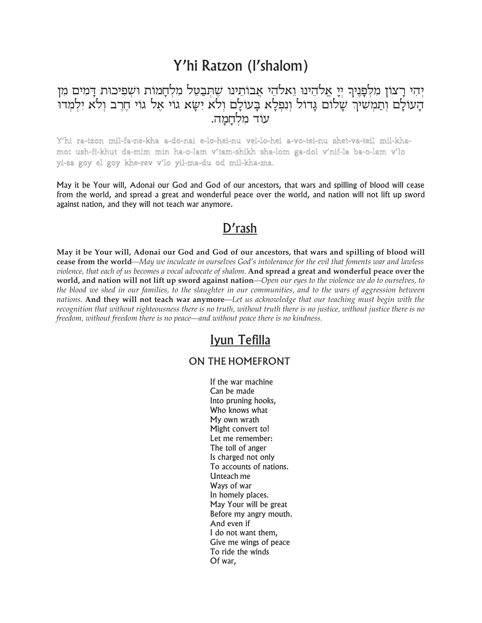# Y'hi Ratzon (I'shalom)

### יְהִי רָצוֹן מִלְפָנֶיךָ יְיָ אֱלֹהֵינוּ וֵאלֹהֵי אֲבוֹתֵינוּ שֶׁתְּבַטֵּל מִלְחָמוֹת וּשְׁפִיכוּת דָמִים מִן העולם ותמשיר שלום גדול ונפלא בעולם ולא ישא גוי אל גוי הרב ולא ילמדו עוד מלחמה.

Y'hi ra-tzon mil-fa-ne-kha a-do-nai e-lo-hei-nu vei-lo-hei a-vo-tei-nu shet-va-teil mil-khamot ush-fi-khut da-mim min ha-o-lam v'tam-shikh sha-lom ga-dol v'nif-la ba-o-lam v'lo yi-sa goy el goy khe-rev v'lo yil-ma-du od mil-kha-ma.

May it be Your will, Adonai our God and God of our ancestors, that wars and spilling of blood will cease from the world, and spread a great and wonderful peace over the world, and nation will not lift up sword against nation, and they will not teach war anymore.

### D'rash

May it be Your will, Adonai our God and God of our ancestors, that wars and spilling of blood will cease from the world—May we inculcate in ourselves God's intolerance for the evil that foments war and lawless violence, that each of us becomes a vocal advocate of shalom. And spread a great and wonderful peace over the world, and nation will not lift up sword against nation—Open our eyes to the violence we do to ourselves, to the blood we shed in our families, to the slaughter in our communities, and to the wars of aggression between nations. And they will not teach war anymore—Let us acknowledge that our teaching must begin with the recognition that without righteousness there is no truth, without truth there is no justice, without justice there is no freedom, without freedom there is no peace—and without peace there is no kindness.

## Iyun Tefilla

#### ON THE HOMEFRONT

If the war machine Can be made Into pruning hooks, Who knows what My own wrath Might convert to! Let me remember: The toll of anger Is charged not only To accounts of nations. Unteach me Ways of war In homely places. May Your will be great Before my angry mouth. And even if I do not want them, Give me wings of peace To ride the winds Of war,